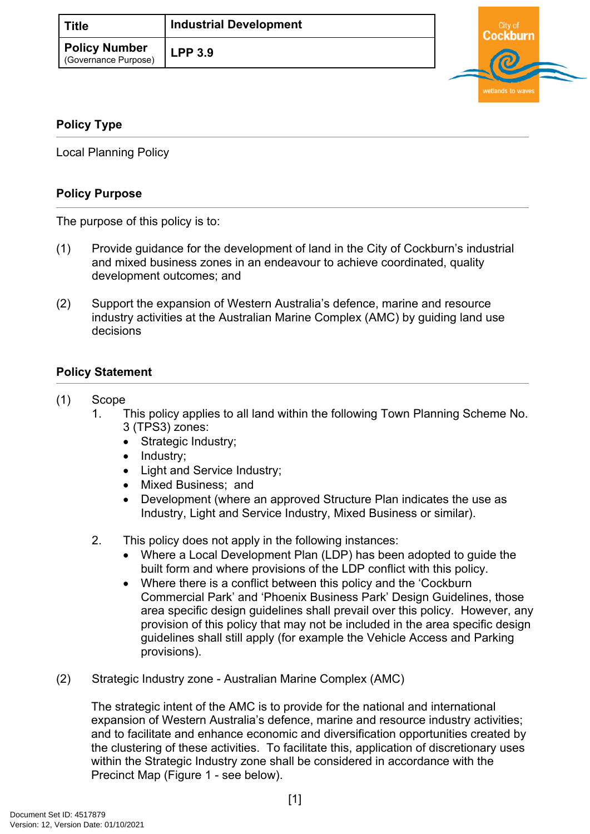| <b>Title</b>                                 | <b>Industrial Development</b> |  |
|----------------------------------------------|-------------------------------|--|
| <b>Policy Number</b><br>(Governance Purpose) | LPP3.9                        |  |



# **Policy Type**

Local Planning Policy

# **Policy Purpose**

The purpose of this policy is to:

- (1) Provide guidance for the development of land in the City of Cockburn's industrial and mixed business zones in an endeavour to achieve coordinated, quality development outcomes; and
- (2) Support the expansion of Western Australia's defence, marine and resource industry activities at the Australian Marine Complex (AMC) by guiding land use decisions

# **[Policy Statement](#page-0-0)**

### <span id="page-0-0"></span>(1) Scope

- 1. This policy applies to all land within the following Town Planning Scheme No. 3 (TPS3) zones:
	- Strategic Industry;
	- Industry;
	- Light and Service Industry;
	- Mixed Business: and
	- Development (where an approved Structure Plan indicates the use as Industry, Light and Service Industry, Mixed Business or similar).
- 2. This policy does not apply in the following instances:
	- Where a Local Development Plan (LDP) has been adopted to guide the built form and where provisions of the LDP conflict with this policy.
	- Where there is a conflict between this policy and the 'Cockburn' Commercial Park' and 'Phoenix Business Park' Design Guidelines, those area specific design guidelines shall prevail over this policy. However, any provision of this policy that may not be included in the area specific design guidelines shall still apply (for example the Vehicle Access and Parking provisions).
- (2) Strategic Industry zone Australian Marine Complex (AMC)

The strategic intent of the AMC is to provide for the national and international expansion of Western Australia's defence, marine and resource industry activities; and to facilitate and enhance economic and diversification opportunities created by the clustering of these activities. To facilitate this, application of discretionary uses within the Strategic Industry zone shall be considered in accordance with the Precinct Map (Figure 1 - see below).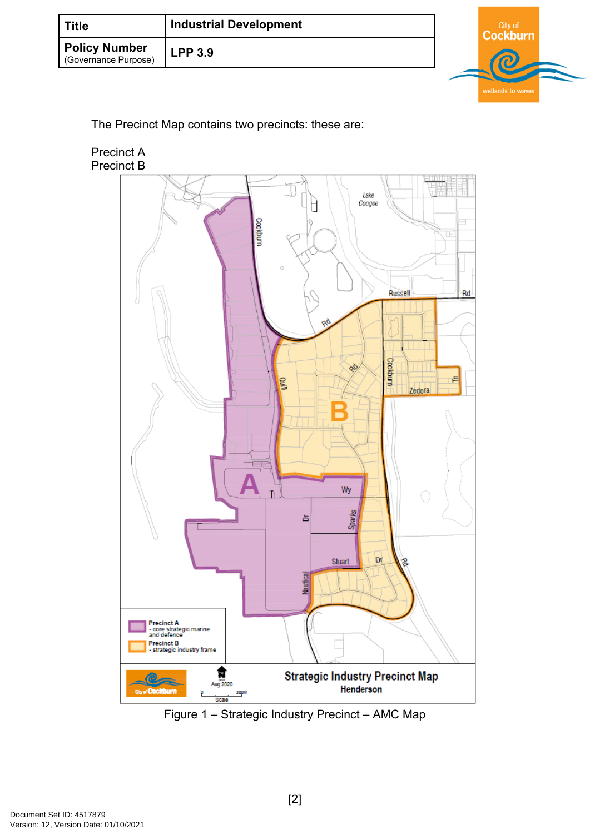| ์ Title                                      | <b>Industrial Development</b> |  |
|----------------------------------------------|-------------------------------|--|
| <b>Policy Number</b><br>(Governance Purpose) | LPP3.9                        |  |

The Precinct Map contains two precincts: these are:



Figure 1 – Strategic Industry Precinct – AMC Map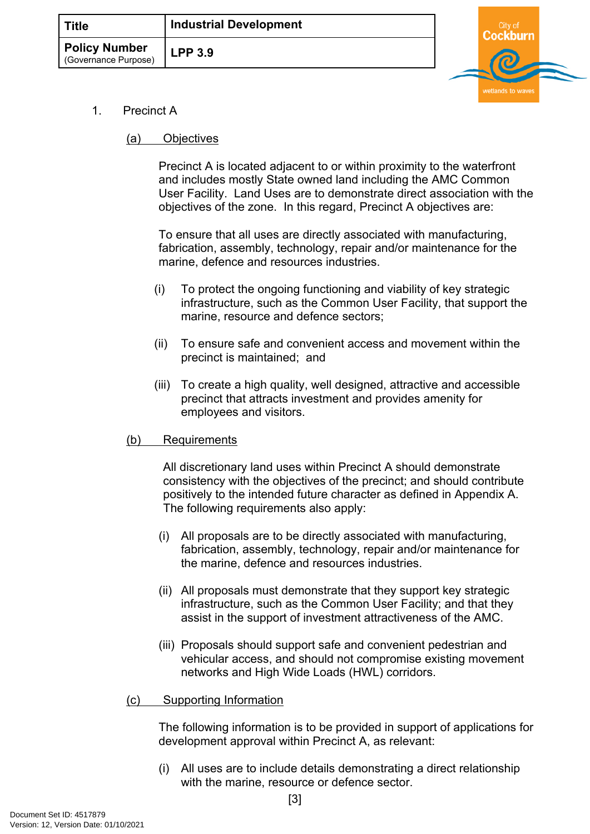

- 1. Precinct A
	- (a) Objectives

Precinct A is located adjacent to or within proximity to the waterfront and includes mostly State owned land including the AMC Common User Facility. Land Uses are to demonstrate direct association with the objectives of the zone. In this regard, Precinct A objectives are:

To ensure that all uses are directly associated with manufacturing, fabrication, assembly, technology, repair and/or maintenance for the marine, defence and resources industries.

- (i) To protect the ongoing functioning and viability of key strategic infrastructure, such as the Common User Facility, that support the marine, resource and defence sectors;
- (ii) To ensure safe and convenient access and movement within the precinct is maintained; and
- (iii) To create a high quality, well designed, attractive and accessible precinct that attracts investment and provides amenity for employees and visitors.

# (b) Requirements

All discretionary land uses within Precinct A should demonstrate consistency with the objectives of the precinct; and should contribute positively to the intended future character as defined in [Appendix A](#page-12-0). The following requirements also apply:

- (i) All proposals are to be directly associated with manufacturing, fabrication, assembly, technology, repair and/or maintenance for the marine, defence and resources industries.
- (ii) All proposals must demonstrate that they support key strategic infrastructure, such as the Common User Facility; and that they assist in the support of investment attractiveness of the AMC.
- (iii) Proposals should support safe and convenient pedestrian and vehicular access, and should not compromise existing movement networks and High Wide Loads (HWL) corridors.
- (c) Supporting Information

The following information is to be provided in support of applications for development approval within Precinct A, as relevant:

(i) All uses are to include details demonstrating a direct relationship with the marine, resource or defence sector.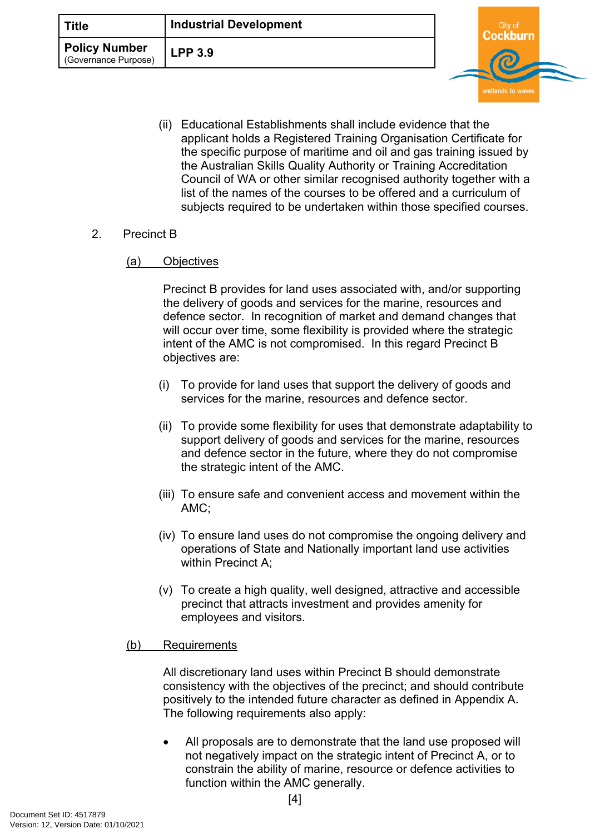| <b>Title</b>                                 | <b>Industrial Development</b> | City c |  |
|----------------------------------------------|-------------------------------|--------|--|
| <b>Policy Number</b><br>(Governance Purpose) | <b>LPP 3.9</b>                |        |  |

(ii) Educational Establishments shall include evidence that the applicant holds a Registered Training Organisation Certificate for the specific purpose of maritime and oil and gas training issued by the Australian Skills Quality Authority or Training Accreditation Council of WA or other similar recognised authority together with a list of the names of the courses to be offered and a curriculum of subjects required to be undertaken within those specified courses.

### 2. Precinct B

#### (a) Objectives

Precinct B provides for land uses associated with, and/or supporting the delivery of goods and services for the marine, resources and defence sector. In recognition of market and demand changes that will occur over time, some flexibility is provided where the strategic intent of the AMC is not compromised. In this regard Precinct B objectives are:

- (i) To provide for land uses that support the delivery of goods and services for the marine, resources and defence sector.
- (ii) To provide some flexibility for uses that demonstrate adaptability to support delivery of goods and services for the marine, resources and defence sector in the future, where they do not compromise the strategic intent of the AMC.
- (iii) To ensure safe and convenient access and movement within the AMC;
- (iv) To ensure land uses do not compromise the ongoing delivery and operations of State and Nationally important land use activities within Precinct A:
- (v) To create a high quality, well designed, attractive and accessible precinct that attracts investment and provides amenity for employees and visitors.

#### (b) Requirements

All discretionary land uses within Precinct B should demonstrate consistency with the objectives of the precinct; and should contribute positively to the intended future character as defined in Appendix A. The following requirements also apply:

 All proposals are to demonstrate that the land use proposed will not negatively impact on the strategic intent of Precinct A, or to constrain the ability of marine, resource or defence activities to function within the AMC generally.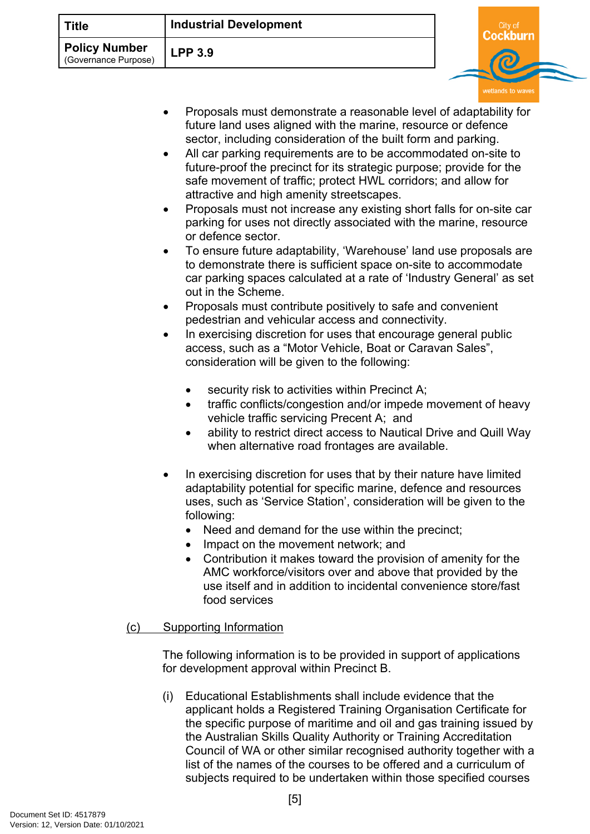| Title                                        | <b>Industrial Development</b> |  |  |
|----------------------------------------------|-------------------------------|--|--|
| <b>Policy Number</b><br>(Governance Purpose) | <b>LPP 3.9</b>                |  |  |
|                                              |                               |  |  |

- Proposals must demonstrate a reasonable level of adaptability for future land uses aligned with the marine, resource or defence sector, including consideration of the built form and parking.
- All car parking requirements are to be accommodated on-site to future-proof the precinct for its strategic purpose; provide for the safe movement of traffic; protect HWL corridors; and allow for attractive and high amenity streetscapes.
- Proposals must not increase any existing short falls for on-site car parking for uses not directly associated with the marine, resource or defence sector.
- To ensure future adaptability, 'Warehouse' land use proposals are to demonstrate there is sufficient space on-site to accommodate car parking spaces calculated at a rate of 'Industry General' as set out in the Scheme.
- Proposals must contribute positively to safe and convenient pedestrian and vehicular access and connectivity.
- In exercising discretion for uses that encourage general public access, such as a "Motor Vehicle, Boat or Caravan Sales", consideration will be given to the following:
	- security risk to activities within Precinct A;
	- traffic conflicts/congestion and/or impede movement of heavy vehicle traffic servicing Precent A; and
	- ability to restrict direct access to Nautical Drive and Quill Way when alternative road frontages are available.
- In exercising discretion for uses that by their nature have limited adaptability potential for specific marine, defence and resources uses, such as 'Service Station', consideration will be given to the following:
	- Need and demand for the use within the precinct;
	- Impact on the movement network; and
	- Contribution it makes toward the provision of amenity for the AMC workforce/visitors over and above that provided by the use itself and in addition to incidental convenience store/fast food services
- (c) Supporting Information

The following information is to be provided in support of applications for development approval within Precinct B.

(i) Educational Establishments shall include evidence that the applicant holds a Registered Training Organisation Certificate for the specific purpose of maritime and oil and gas training issued by the Australian Skills Quality Authority or Training Accreditation Council of WA or other similar recognised authority together with a list of the names of the courses to be offered and a curriculum of subjects required to be undertaken within those specified courses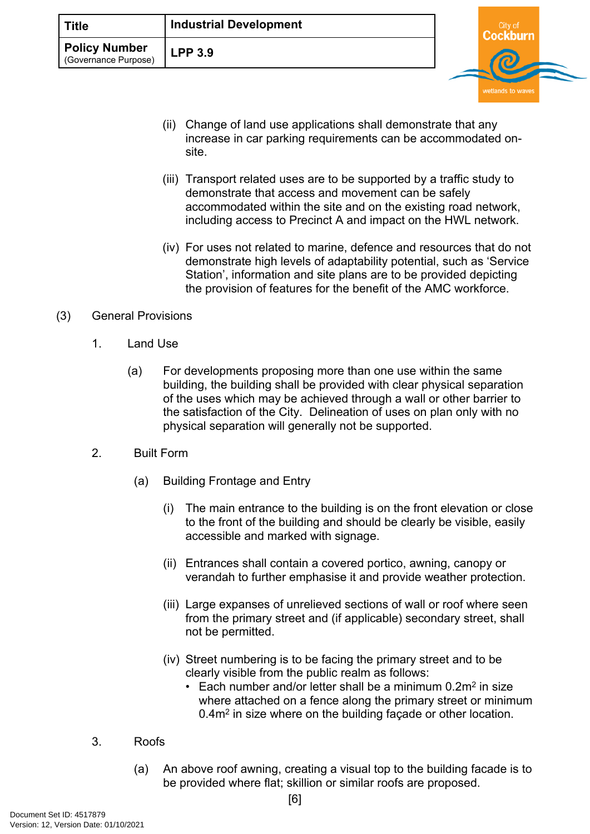| <b>Title</b>                                                   | <b>Industrial Development</b> | City of |  |
|----------------------------------------------------------------|-------------------------------|---------|--|
| <b>Policy Number</b><br><b>LPP 3.9</b><br>(Governance Purpose) |                               |         |  |

- (ii) Change of land use applications shall demonstrate that any increase in car parking requirements can be accommodated onsite.
- (iii) Transport related uses are to be supported by a traffic study to demonstrate that access and movement can be safely accommodated within the site and on the existing road network, including access to Precinct A and impact on the HWL network.
- (iv) For uses not related to marine, defence and resources that do not demonstrate high levels of adaptability potential, such as 'Service Station', information and site plans are to be provided depicting the provision of features for the benefit of the AMC workforce.

### (3) General Provisions

- 1. Land Use
	- (a) For developments proposing more than one use within the same building, the building shall be provided with clear physical separation of the uses which may be achieved through a wall or other barrier to the satisfaction of the City. Delineation of uses on plan only with no physical separation will generally not be supported.
- 2. Built Form
	- (a) Building Frontage and Entry
		- (i) The main entrance to the building is on the front elevation or close to the front of the building and should be clearly be visible, easily accessible and marked with signage.
		- (ii) Entrances shall contain a covered portico, awning, canopy or verandah to further emphasise it and provide weather protection.
		- (iii) Large expanses of unrelieved sections of wall or roof where seen from the primary street and (if applicable) secondary street, shall not be permitted.
		- (iv) Street numbering is to be facing the primary street and to be clearly visible from the public realm as follows:
			- Each number and/or letter shall be a minimum  $0.2m^2$  in size where attached on a fence along the primary street or minimum 0.4m<sup>2</sup> in size where on the building façade or other location.

# 3. Roofs

(a) An above roof awning, creating a visual top to the building facade is to be provided where flat; skillion or similar roofs are proposed.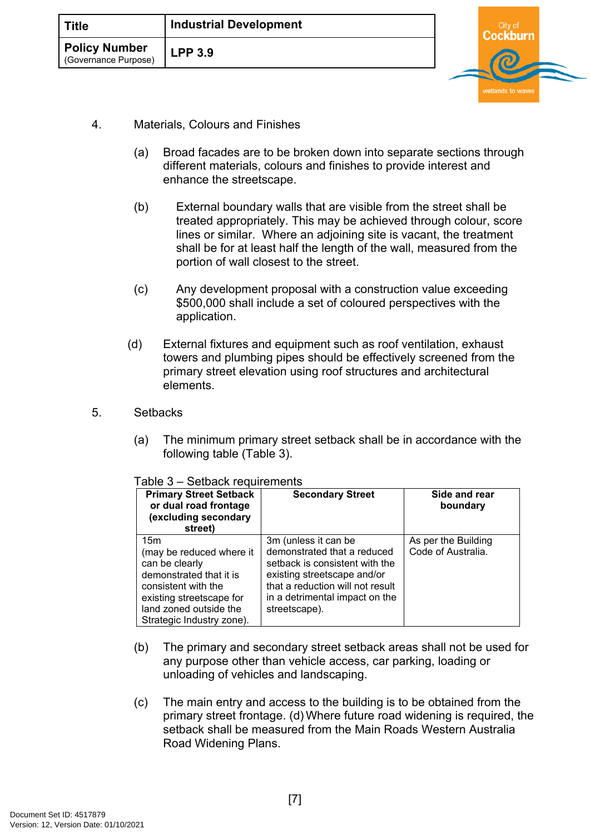| <b>Title</b>                                 | <b>Industrial Development</b> |  |  |
|----------------------------------------------|-------------------------------|--|--|
| <b>Policy Number</b><br>(Governance Purpose) | <b>LPP 3.9</b>                |  |  |
|                                              |                               |  |  |

- 4. Materials, Colours and Finishes
	- (a) Broad facades are to be broken down into separate sections through different materials, colours and finishes to provide interest and enhance the streetscape.
	- (b) External boundary walls that are visible from the street shall be treated appropriately. This may be achieved through colour, score lines or similar. Where an adjoining site is vacant, the treatment shall be for at least half the length of the wall, measured from the portion of wall closest to the street.
	- (c) Any development proposal with a construction value exceeding \$500,000 shall include a set of coloured perspectives with the application.
	- (d) External fixtures and equipment such as roof ventilation, exhaust towers and plumbing pipes should be effectively screened from the primary street elevation using roof structures and architectural elements.
- 5. Setbacks
	- (a) The minimum primary street setback shall be in accordance with the following table (Table 3).

|  |  | Table 3 - Setback requirements |
|--|--|--------------------------------|
|--|--|--------------------------------|

| <b>Primary Street Setback</b><br>or dual road frontage<br>(excluding secondary<br>street)                                                                                              | <b>Secondary Street</b>                                                                                                                                                                                     | Side and rear<br>boundary                 |
|----------------------------------------------------------------------------------------------------------------------------------------------------------------------------------------|-------------------------------------------------------------------------------------------------------------------------------------------------------------------------------------------------------------|-------------------------------------------|
| 15m<br>(may be reduced where it<br>can be clearly<br>demonstrated that it is<br>consistent with the<br>existing streetscape for<br>land zoned outside the<br>Strategic Industry zone). | 3m (unless it can be<br>demonstrated that a reduced<br>setback is consistent with the<br>existing streetscape and/or<br>that a reduction will not result<br>in a detrimental impact on the<br>streetscape). | As per the Building<br>Code of Australia. |

- (b) The primary and secondary street setback areas shall not be used for any purpose other than vehicle access, car parking, loading or unloading of vehicles and landscaping.
- (c) The main entry and access to the building is to be obtained from the primary street frontage. (d) Where future road widening is required, the setback shall be measured from the Main Roads Western Australia Road Widening Plans.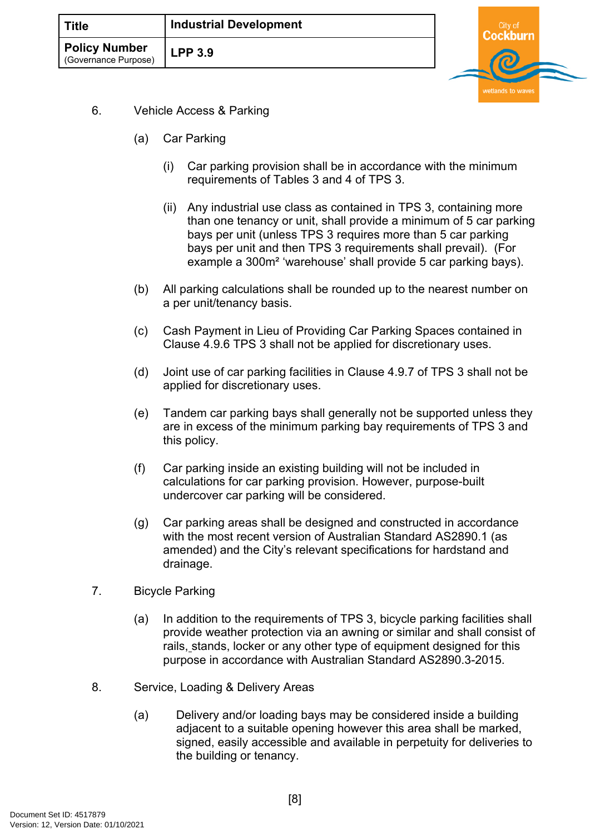| <b>Title</b>                                 | <b>Industrial Development</b> |  |  |
|----------------------------------------------|-------------------------------|--|--|
| <b>Policy Number</b><br>(Governance Purpose) | <b>LPP 3.9</b>                |  |  |
|                                              |                               |  |  |

- 6. Vehicle Access & Parking
	- (a) Car Parking
		- (i) Car parking provision shall be in accordance with the minimum requirements of Tables 3 and 4 of TPS 3.
		- (ii) Any industrial use class as contained in TPS 3, containing more than one tenancy or unit, shall provide a minimum of 5 car parking bays per unit (unless TPS 3 requires more than 5 car parking bays per unit and then TPS 3 requirements shall prevail). (For example a 300m² 'warehouse' shall provide 5 car parking bays).
	- (b) All parking calculations shall be rounded up to the nearest number on a per unit/tenancy basis.
	- (c) Cash Payment in Lieu of Providing Car Parking Spaces contained in Clause 4.9.6 TPS 3 shall not be applied for discretionary uses.
	- (d) Joint use of car parking facilities in Clause 4.9.7 of TPS 3 shall not be applied for discretionary uses.
	- (e) Tandem car parking bays shall generally not be supported unless they are in excess of the minimum parking bay requirements of TPS 3 and this policy.
	- (f) Car parking inside an existing building will not be included in calculations for car parking provision. However, purpose-built undercover car parking will be considered.
	- (g) Car parking areas shall be designed and constructed in accordance with the most recent version of Australian Standard AS2890.1 (as amended) and the City's relevant specifications for hardstand and drainage.
- 7. Bicycle Parking
	- (a) In addition to the requirements of TPS 3, bicycle parking facilities shall provide weather protection via an awning or similar and shall consist of rails, stands, locker or any other type of equipment designed for this purpose in accordance with Australian Standard AS2890.3-2015.
- 8. Service, Loading & Delivery Areas
	- (a) Delivery and/or loading bays may be considered inside a building adjacent to a suitable opening however this area shall be marked, signed, easily accessible and available in perpetuity for deliveries to the building or tenancy.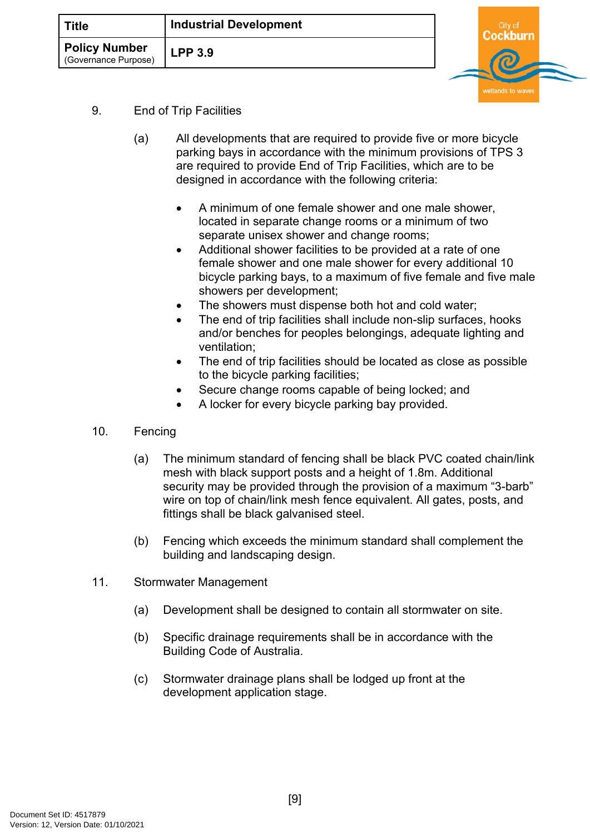| <b>Title</b>                          | <b>Industrial Development</b> | `itv.c |  |
|---------------------------------------|-------------------------------|--------|--|
| Policy Number<br>(Governance Purpose) | <b>LPP 3.9</b>                |        |  |

- 9. End of Trip Facilities
	- (a) All developments that are required to provide five or more bicycle parking bays in accordance with the minimum provisions of TPS 3 are required to provide End of Trip Facilities, which are to be designed in accordance with the following criteria:
		- A minimum of one female shower and one male shower, located in separate change rooms or a minimum of two separate unisex shower and change rooms;
		- Additional shower facilities to be provided at a rate of one female shower and one male shower for every additional 10 bicycle parking bays, to a maximum of five female and five male showers per development;
		- The showers must dispense both hot and cold water;
		- The end of trip facilities shall include non-slip surfaces, hooks and/or benches for peoples belongings, adequate lighting and ventilation;
		- The end of trip facilities should be located as close as possible to the bicycle parking facilities;
		- Secure change rooms capable of being locked; and
		- A locker for every bicycle parking bay provided.
- 10. Fencing
	- (a) The minimum standard of fencing shall be black PVC coated chain/link mesh with black support posts and a height of 1.8m. Additional security may be provided through the provision of a maximum "3-barb" wire on top of chain/link mesh fence equivalent. All gates, posts, and fittings shall be black galvanised steel.
	- (b) Fencing which exceeds the minimum standard shall complement the building and landscaping design.
- 11. Stormwater Management
	- (a) Development shall be designed to contain all stormwater on site.
	- (b) Specific drainage requirements shall be in accordance with the Building Code of Australia.
	- (c) Stormwater drainage plans shall be lodged up front at the development application stage.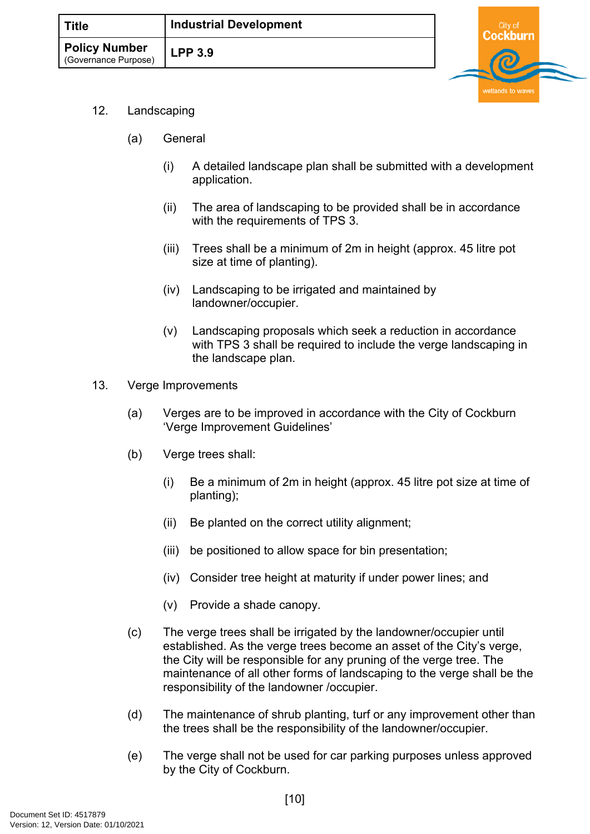

- 12. Landscaping
	- (a) General
		- (i) A detailed landscape plan shall be submitted with a development application.
		- (ii) The area of landscaping to be provided shall be in accordance with the requirements of TPS 3.
		- (iii) Trees shall be a minimum of 2m in height (approx. 45 litre pot size at time of planting).
		- (iv) Landscaping to be irrigated and maintained by landowner/occupier.
		- (v) Landscaping proposals which seek a reduction in accordance with TPS 3 shall be required to include the verge landscaping in the landscape plan.
- 13. Verge Improvements
	- (a) Verges are to be improved in accordance with the City of Cockburn 'Verge Improvement Guidelines'
	- (b) Verge trees shall:
		- (i) Be a minimum of 2m in height (approx. 45 litre pot size at time of planting);
		- (ii) Be planted on the correct utility alignment;
		- (iii) be positioned to allow space for bin presentation;
		- (iv) Consider tree height at maturity if under power lines; and
		- (v) Provide a shade canopy.
	- (c) The verge trees shall be irrigated by the landowner/occupier until established. As the verge trees become an asset of the City's verge, the City will be responsible for any pruning of the verge tree. The maintenance of all other forms of landscaping to the verge shall be the responsibility of the landowner /occupier.
	- (d) The maintenance of shrub planting, turf or any improvement other than the trees shall be the responsibility of the landowner/occupier.
	- (e) The verge shall not be used for car parking purposes unless approved by the City of Cockburn.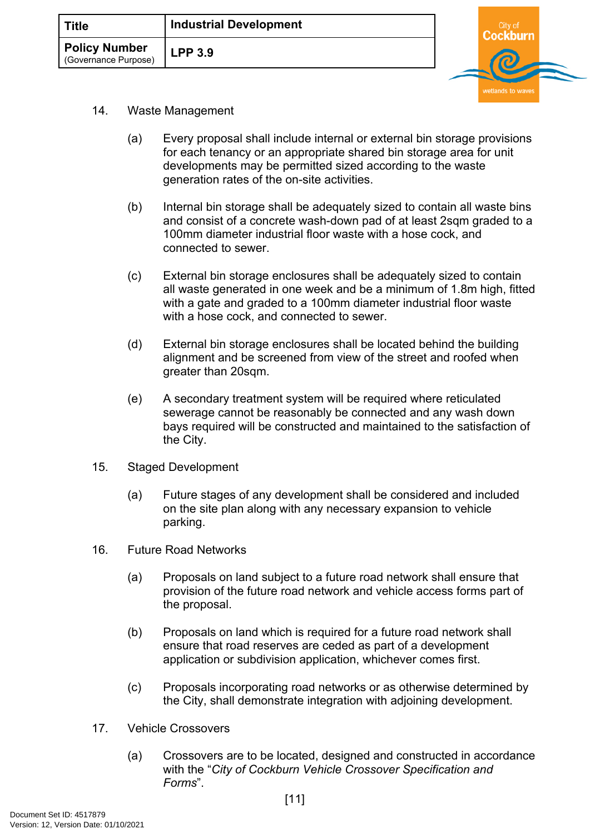| ं Title                                      | <b>Industrial Development</b> |  |  |
|----------------------------------------------|-------------------------------|--|--|
| <b>Policy Number</b><br>(Governance Purpose) | <b>LPP 3.9</b>                |  |  |
|                                              |                               |  |  |

- 14. Waste Management
	- (a) Every proposal shall include internal or external bin storage provisions for each tenancy or an appropriate shared bin storage area for unit developments may be permitted sized according to the waste generation rates of the on-site activities.
	- (b) Internal bin storage shall be adequately sized to contain all waste bins and consist of a concrete wash-down pad of at least 2sqm graded to a 100mm diameter industrial floor waste with a hose cock, and connected to sewer.
	- (c) External bin storage enclosures shall be adequately sized to contain all waste generated in one week and be a minimum of 1.8m high, fitted with a gate and graded to a 100mm diameter industrial floor waste with a hose cock, and connected to sewer.
	- (d) External bin storage enclosures shall be located behind the building alignment and be screened from view of the street and roofed when greater than 20sqm.
	- (e) A secondary treatment system will be required where reticulated sewerage cannot be reasonably be connected and any wash down bays required will be constructed and maintained to the satisfaction of the City.
- 15. Staged Development
	- (a) Future stages of any development shall be considered and included on the site plan along with any necessary expansion to vehicle parking.
- 16. Future Road Networks
	- (a) Proposals on land subject to a future road network shall ensure that provision of the future road network and vehicle access forms part of the proposal.
	- (b) Proposals on land which is required for a future road network shall ensure that road reserves are ceded as part of a development application or subdivision application, whichever comes first.
	- (c) Proposals incorporating road networks or as otherwise determined by the City, shall demonstrate integration with adjoining development.
- 17. Vehicle Crossovers
	- (a) Crossovers are to be located, designed and constructed in accordance with the "*City of Cockburn Vehicle Crossover Specification and Forms*".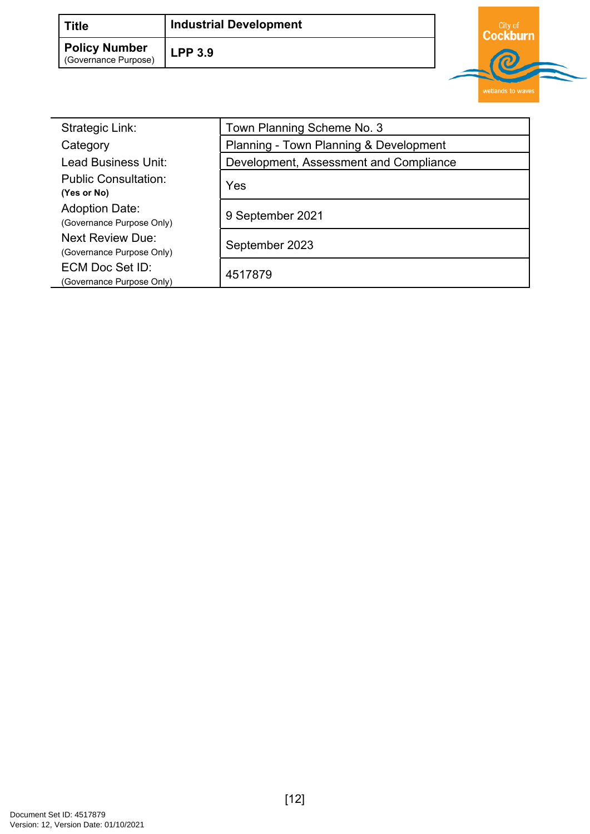| <b>Title</b>                                 | <b>Industrial Development</b> | City of |  |
|----------------------------------------------|-------------------------------|---------|--|
| <b>Policy Number</b><br>(Governance Purpose) | LPP3.9                        |         |  |
|                                              |                               |         |  |

| Strategic Link:                                      | Town Planning Scheme No. 3             |  |
|------------------------------------------------------|----------------------------------------|--|
| Category                                             | Planning - Town Planning & Development |  |
| Lead Business Unit:                                  | Development, Assessment and Compliance |  |
| <b>Public Consultation:</b><br>(Yes or No)           | Yes                                    |  |
| <b>Adoption Date:</b><br>(Governance Purpose Only)   | 9 September 2021                       |  |
| <b>Next Review Due:</b><br>(Governance Purpose Only) | September 2023                         |  |
| ECM Doc Set ID:<br>(Governance Purpose Only)         | 4517879                                |  |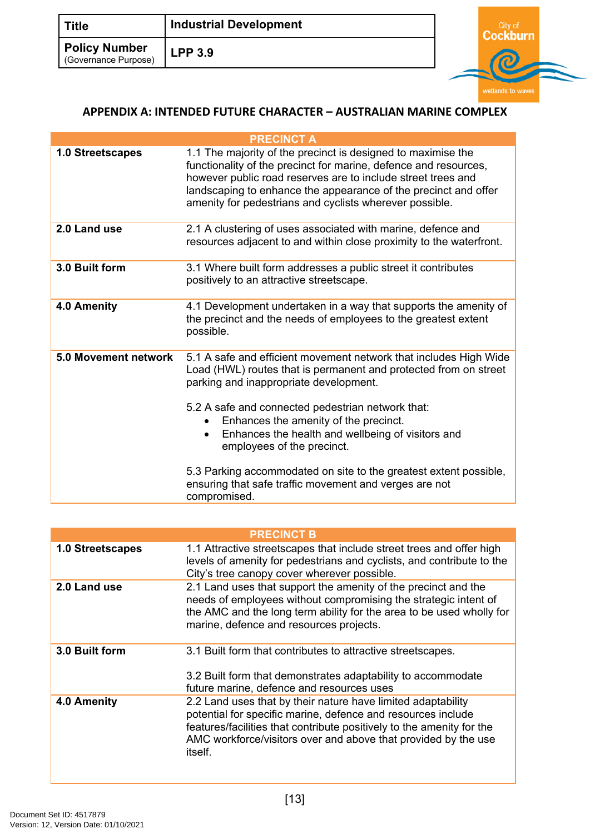| <b>Title</b>                                 | <b>Industrial Development</b> | City of |  |
|----------------------------------------------|-------------------------------|---------|--|
| <b>Policy Number</b><br>(Governance Purpose) | $LPP$ 3.9                     |         |  |

### <span id="page-12-0"></span>**APPENDIX A: INTENDED FUTURE CHARACTER – AUSTRALIAN MARINE COMPLEX**

|                         | <b>PRECINCT A</b>                                                                                                                                                                                                                                                                                                                                                             |
|-------------------------|-------------------------------------------------------------------------------------------------------------------------------------------------------------------------------------------------------------------------------------------------------------------------------------------------------------------------------------------------------------------------------|
| <b>1.0 Streetscapes</b> | 1.1 The majority of the precinct is designed to maximise the<br>functionality of the precinct for marine, defence and resources,<br>however public road reserves are to include street trees and<br>landscaping to enhance the appearance of the precinct and offer<br>amenity for pedestrians and cyclists wherever possible.                                                |
| 2.0 Land use            | 2.1 A clustering of uses associated with marine, defence and<br>resources adjacent to and within close proximity to the waterfront.                                                                                                                                                                                                                                           |
| 3.0 Built form          | 3.1 Where built form addresses a public street it contributes<br>positively to an attractive streetscape.                                                                                                                                                                                                                                                                     |
| 4.0 Amenity             | 4.1 Development undertaken in a way that supports the amenity of<br>the precinct and the needs of employees to the greatest extent<br>possible.                                                                                                                                                                                                                               |
| 5.0 Movement network    | 5.1 A safe and efficient movement network that includes High Wide<br>Load (HWL) routes that is permanent and protected from on street<br>parking and inappropriate development.<br>5.2 A safe and connected pedestrian network that:<br>Enhances the amenity of the precinct.<br>$\bullet$<br>Enhances the health and wellbeing of visitors and<br>employees of the precinct. |
|                         | 5.3 Parking accommodated on site to the greatest extent possible,<br>ensuring that safe traffic movement and verges are not<br>compromised.                                                                                                                                                                                                                                   |

|                         | <b>PRECINCT B</b>                                                                                                                                                                                                                                                                  |
|-------------------------|------------------------------------------------------------------------------------------------------------------------------------------------------------------------------------------------------------------------------------------------------------------------------------|
| <b>1.0 Streetscapes</b> | 1.1 Attractive streetscapes that include street trees and offer high<br>levels of amenity for pedestrians and cyclists, and contribute to the<br>City's tree canopy cover wherever possible.                                                                                       |
| 2.0 Land use            | 2.1 Land uses that support the amenity of the precinct and the<br>needs of employees without compromising the strategic intent of<br>the AMC and the long term ability for the area to be used wholly for<br>marine, defence and resources projects.                               |
| 3.0 Built form          | 3.1 Built form that contributes to attractive streetscapes.<br>3.2 Built form that demonstrates adaptability to accommodate<br>future marine, defence and resources uses                                                                                                           |
| 4.0 Amenity             | 2.2 Land uses that by their nature have limited adaptability<br>potential for specific marine, defence and resources include<br>features/facilities that contribute positively to the amenity for the<br>AMC workforce/visitors over and above that provided by the use<br>itself. |